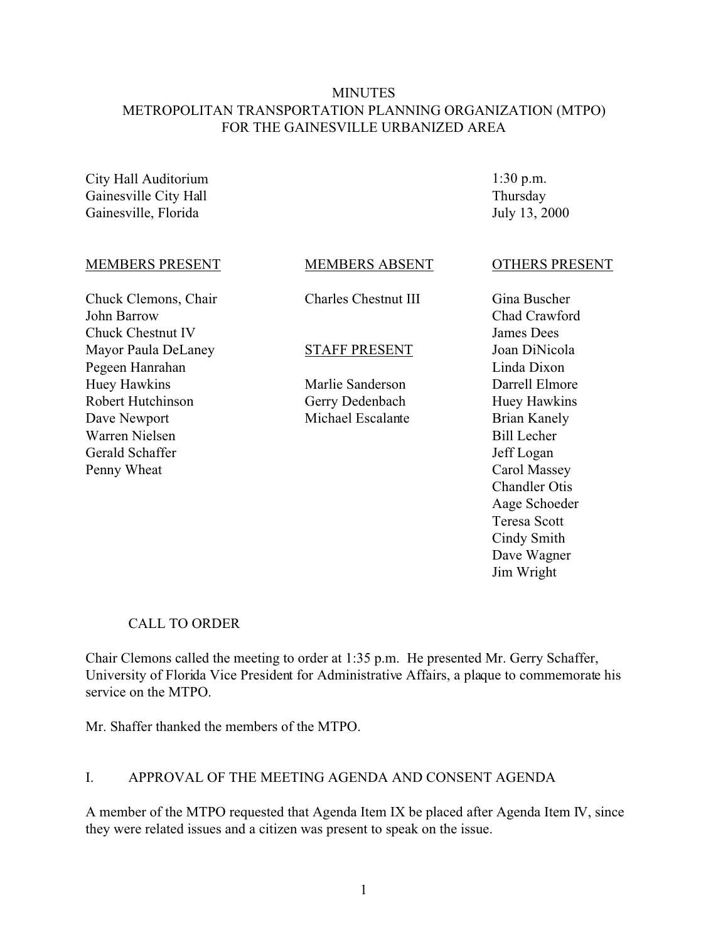#### **MINUTES** METROPOLITAN TRANSPORTATION PLANNING ORGANIZATION (MTPO) FOR THE GAINESVILLE URBANIZED AREA

City Hall Auditorium Gainesville City Hall Gainesville, Florida

1:30 p.m. Thursday July 13, 2000

#### MEMBERS PRESENT

Chuck Clemons, Chair John Barrow Chuck Chestnut IV Mayor Paula DeLaney Pegeen Hanrahan Huey Hawkins Robert Hutchinson Dave Newport Warren Nielsen Gerald Schaffer Penny Wheat

# MEMBERS ABSENT

Charles Chestnut III

#### STAFF PRESENT

Marlie Sanderson Gerry Dedenbach Michael Escalante

#### OTHERS PRESENT

Gina Buscher Chad Crawford James Dees Joan DiNicola Linda Dixon Darrell Elmore Huey Hawkins Brian Kanely Bill Lecher Jeff Logan Carol Massey Chandler Otis Aage Schoeder Teresa Scott Cindy Smith Dave Wagner Jim Wright

#### CALL TO ORDER

Chair Clemons called the meeting to order at 1:35 p.m. He presented Mr. Gerry Schaffer, University of Florida Vice President for Administrative Affairs, a plaque to commemorate his service on the MTPO.

Mr. Shaffer thanked the members of the MTPO.

#### I. APPROVAL OF THE MEETING AGENDA AND CONSENT AGENDA

A member of the MTPO requested that Agenda Item IX be placed after Agenda Item IV, since they were related issues and a citizen was present to speak on the issue.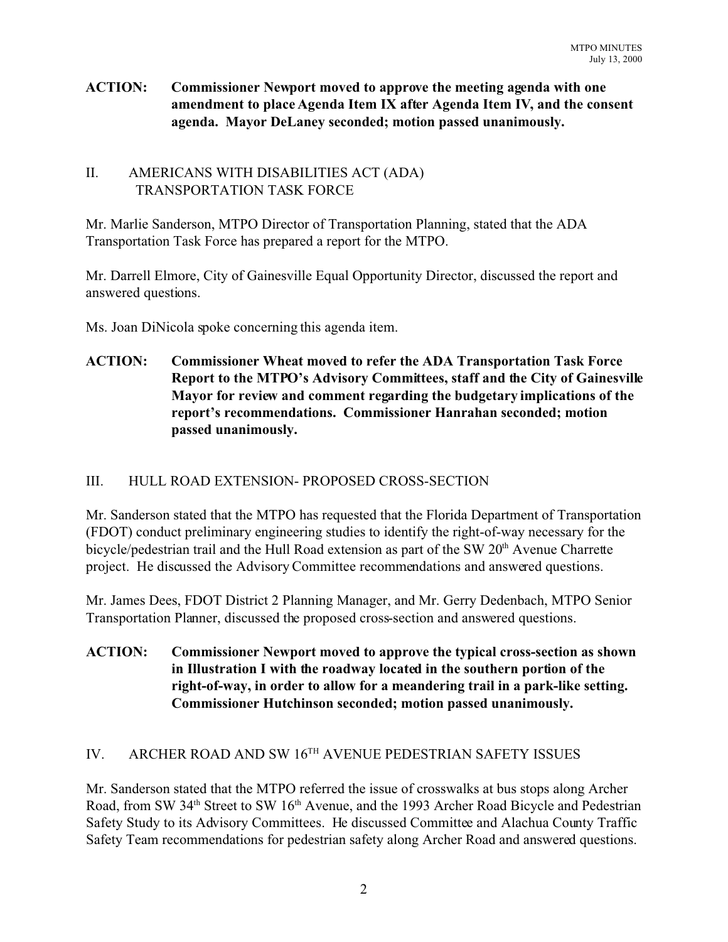# **ACTION: Commissioner Newport moved to approve the meeting agenda with one amendment to place Agenda Item IX after Agenda Item IV, and the consent agenda. Mayor DeLaney seconded; motion passed unanimously.**

#### II. AMERICANS WITH DISABILITIES ACT (ADA) TRANSPORTATION TASK FORCE

Mr. Marlie Sanderson, MTPO Director of Transportation Planning, stated that the ADA Transportation Task Force has prepared a report for the MTPO.

Mr. Darrell Elmore, City of Gainesville Equal Opportunity Director, discussed the report and answered questions.

Ms. Joan DiNicola spoke concerning this agenda item.

**ACTION: Commissioner Wheat moved to refer the ADA Transportation Task Force Report to the MTPO's Advisory Committees, staff and the City of Gainesville Mayor for review and comment regarding the budgetary implications of the report's recommendations. Commissioner Hanrahan seconded; motion passed unanimously.**

# III. HULL ROAD EXTENSION- PROPOSED CROSS-SECTION

Mr. Sanderson stated that the MTPO has requested that the Florida Department of Transportation (FDOT) conduct preliminary engineering studies to identify the right-of-way necessary for the bicycle/pedestrian trail and the Hull Road extension as part of the SW 20<sup>th</sup> Avenue Charrette project. He discussed the Advisory Committee recommendations and answered questions.

Mr. James Dees, FDOT District 2 Planning Manager, and Mr. Gerry Dedenbach, MTPO Senior Transportation Planner, discussed the proposed cross-section and answered questions.

**ACTION: Commissioner Newport moved to approve the typical cross-section as shown in Illustration I with the roadway located in the southern portion of the right-of-way, in order to allow for a meandering trail in a park-like setting. Commissioner Hutchinson seconded; motion passed unanimously.**

# IV. ARCHER ROAD AND SW 16TH AVENUE PEDESTRIAN SAFETY ISSUES

Mr. Sanderson stated that the MTPO referred the issue of crosswalks at bus stops along Archer Road, from SW 34<sup>th</sup> Street to SW 16<sup>th</sup> Avenue, and the 1993 Archer Road Bicycle and Pedestrian Safety Study to its Advisory Committees. He discussed Committee and Alachua County Traffic Safety Team recommendations for pedestrian safety along Archer Road and answered questions.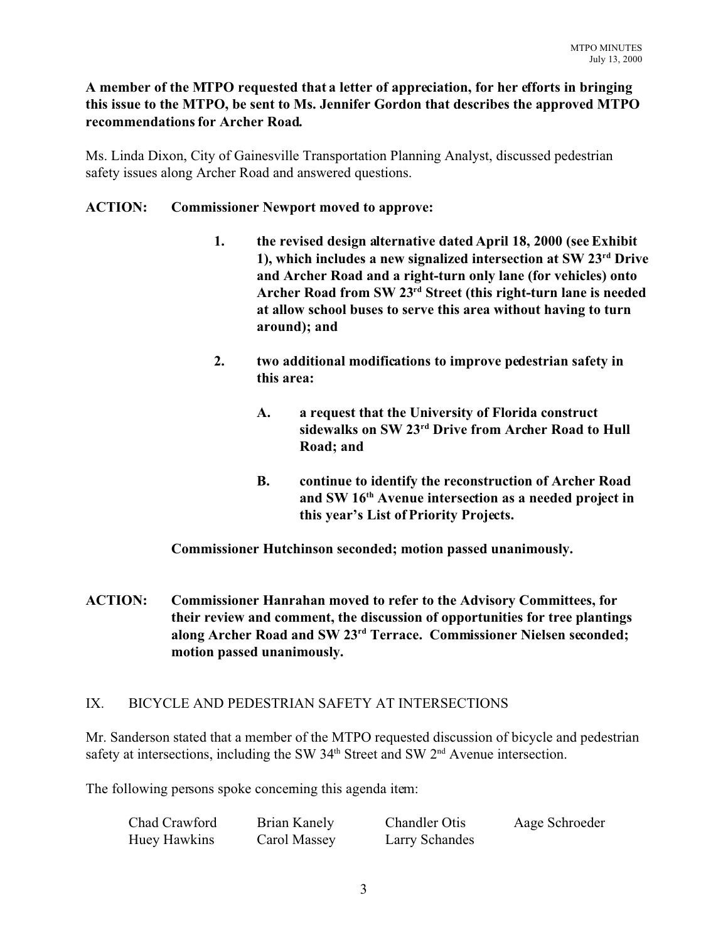# **A member of the MTPO requested that a letter of appreciation, for her efforts in bringing this issue to the MTPO, be sent to Ms. Jennifer Gordon that describes the approved MTPO recommendations for Archer Road.**

Ms. Linda Dixon, City of Gainesville Transportation Planning Analyst, discussed pedestrian safety issues along Archer Road and answered questions.

#### **ACTION: Commissioner Newport moved to approve:**

- **1. the revised design alternative dated April 18, 2000 (see Exhibit 1), which includes a new signalized intersection at SW 23rd Drive and Archer Road and a right-turn only lane (for vehicles) onto Archer Road from SW 23rd Street (this right-turn lane is needed at allow school buses to serve this area without having to turn around); and**
- **2. two additional modifications to improve pedestrian safety in this area:**
	- **A. a request that the University of Florida construct sidewalks on SW 23rd Drive from Archer Road to Hull Road; and**
	- **B. continue to identify the reconstruction of Archer Road and SW 16th Avenue intersection as a needed project in this year's List of Priority Projects.**

**Commissioner Hutchinson seconded; motion passed unanimously.**

**ACTION: Commissioner Hanrahan moved to refer to the Advisory Committees, for their review and comment, the discussion of opportunities for tree plantings along Archer Road and SW 23rd Terrace. Commissioner Nielsen seconded; motion passed unanimously.**

# IX. BICYCLE AND PEDESTRIAN SAFETY AT INTERSECTIONS

Mr. Sanderson stated that a member of the MTPO requested discussion of bicycle and pedestrian safety at intersections, including the SW  $34<sup>th</sup>$  Street and SW  $2<sup>nd</sup>$  Avenue intersection.

The following persons spoke concerning this agenda item:

| Chad Crawford | Brian Kanely | <b>Chandler Otis</b> | Aage Schroeder |
|---------------|--------------|----------------------|----------------|
| Huey Hawkins  | Carol Massey | Larry Schandes       |                |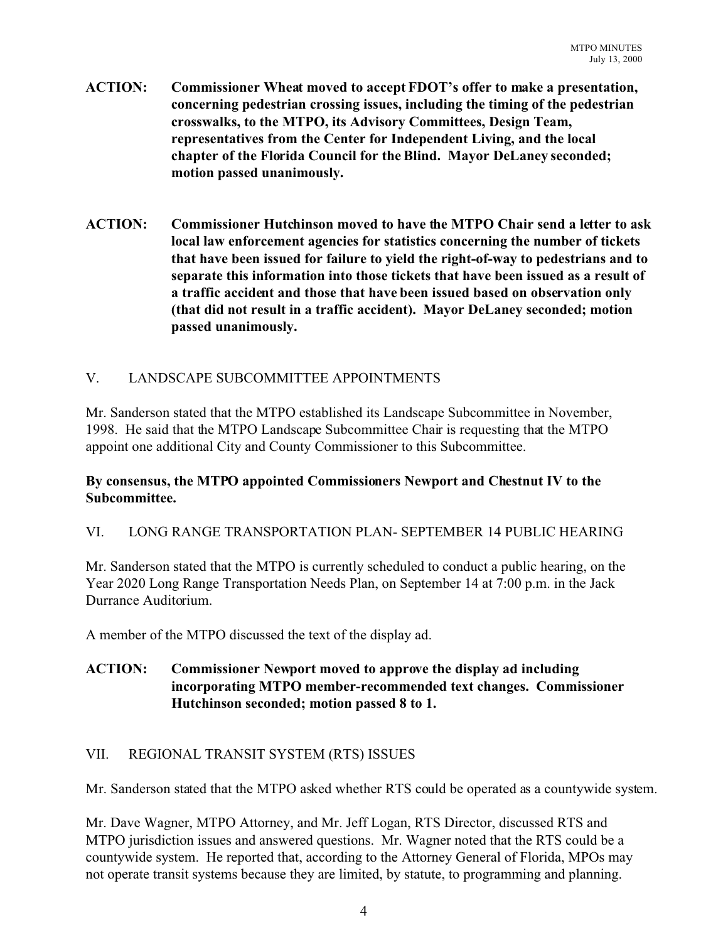- **ACTION: Commissioner Wheat moved to accept FDOT's offer to make a presentation, concerning pedestrian crossing issues, including the timing of the pedestrian crosswalks, to the MTPO, its Advisory Committees, Design Team, representatives from the Center for Independent Living, and the local chapter of the Florida Council for the Blind. Mayor DeLaney seconded; motion passed unanimously.**
- **ACTION: Commissioner Hutchinson moved to have the MTPO Chair send a letter to ask local law enforcement agencies for statistics concerning the number of tickets that have been issued for failure to yield the right-of-way to pedestrians and to separate this information into those tickets that have been issued as a result of a traffic accident and those that have been issued based on observation only (that did not result in a traffic accident). Mayor DeLaney seconded; motion passed unanimously.**

# V. LANDSCAPE SUBCOMMITTEE APPOINTMENTS

Mr. Sanderson stated that the MTPO established its Landscape Subcommittee in November, 1998. He said that the MTPO Landscape Subcommittee Chair is requesting that the MTPO appoint one additional City and County Commissioner to this Subcommittee.

# **By consensus, the MTPO appointed Commissioners Newport and Chestnut IV to the Subcommittee.**

# VI. LONG RANGE TRANSPORTATION PLAN- SEPTEMBER 14 PUBLIC HEARING

Mr. Sanderson stated that the MTPO is currently scheduled to conduct a public hearing, on the Year 2020 Long Range Transportation Needs Plan, on September 14 at 7:00 p.m. in the Jack Durrance Auditorium.

A member of the MTPO discussed the text of the display ad.

# **ACTION: Commissioner Newport moved to approve the display ad including incorporating MTPO member-recommended text changes. Commissioner Hutchinson seconded; motion passed 8 to 1.**

# VII. REGIONAL TRANSIT SYSTEM (RTS) ISSUES

Mr. Sanderson stated that the MTPO asked whether RTS could be operated as a countywide system.

Mr. Dave Wagner, MTPO Attorney, and Mr. Jeff Logan, RTS Director, discussed RTS and MTPO jurisdiction issues and answered questions. Mr. Wagner noted that the RTS could be a countywide system. He reported that, according to the Attorney General of Florida, MPOs may not operate transit systems because they are limited, by statute, to programming and planning.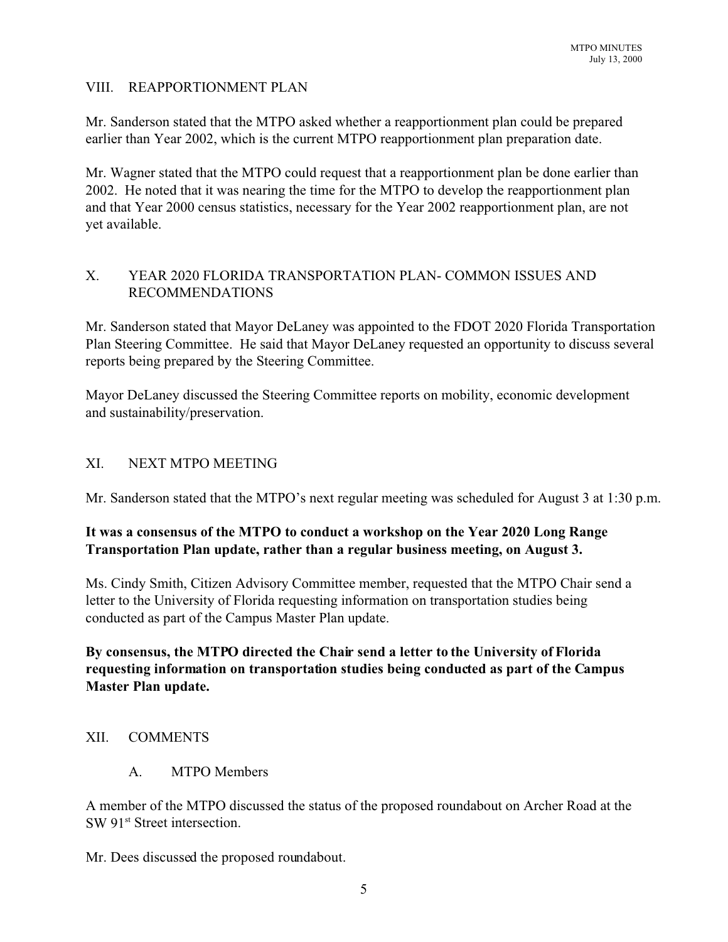#### VIII. REAPPORTIONMENT PLAN

Mr. Sanderson stated that the MTPO asked whether a reapportionment plan could be prepared earlier than Year 2002, which is the current MTPO reapportionment plan preparation date.

Mr. Wagner stated that the MTPO could request that a reapportionment plan be done earlier than 2002. He noted that it was nearing the time for the MTPO to develop the reapportionment plan and that Year 2000 census statistics, necessary for the Year 2002 reapportionment plan, are not yet available.

# X. YEAR 2020 FLORIDA TRANSPORTATION PLAN- COMMON ISSUES AND RECOMMENDATIONS

Mr. Sanderson stated that Mayor DeLaney was appointed to the FDOT 2020 Florida Transportation Plan Steering Committee. He said that Mayor DeLaney requested an opportunity to discuss several reports being prepared by the Steering Committee.

Mayor DeLaney discussed the Steering Committee reports on mobility, economic development and sustainability/preservation.

#### XI. NEXT MTPO MEETING

Mr. Sanderson stated that the MTPO's next regular meeting was scheduled for August 3 at 1:30 p.m.

# **It was a consensus of the MTPO to conduct a workshop on the Year 2020 Long Range Transportation Plan update, rather than a regular business meeting, on August 3.**

Ms. Cindy Smith, Citizen Advisory Committee member, requested that the MTPO Chair send a letter to the University of Florida requesting information on transportation studies being conducted as part of the Campus Master Plan update.

# **By consensus, the MTPO directed the Chair send a letter to the University of Florida requesting information on transportation studies being conducted as part of the Campus Master Plan update.**

# XII. COMMENTS

A. MTPO Members

A member of the MTPO discussed the status of the proposed roundabout on Archer Road at the SW 91<sup>st</sup> Street intersection.

Mr. Dees discussed the proposed roundabout.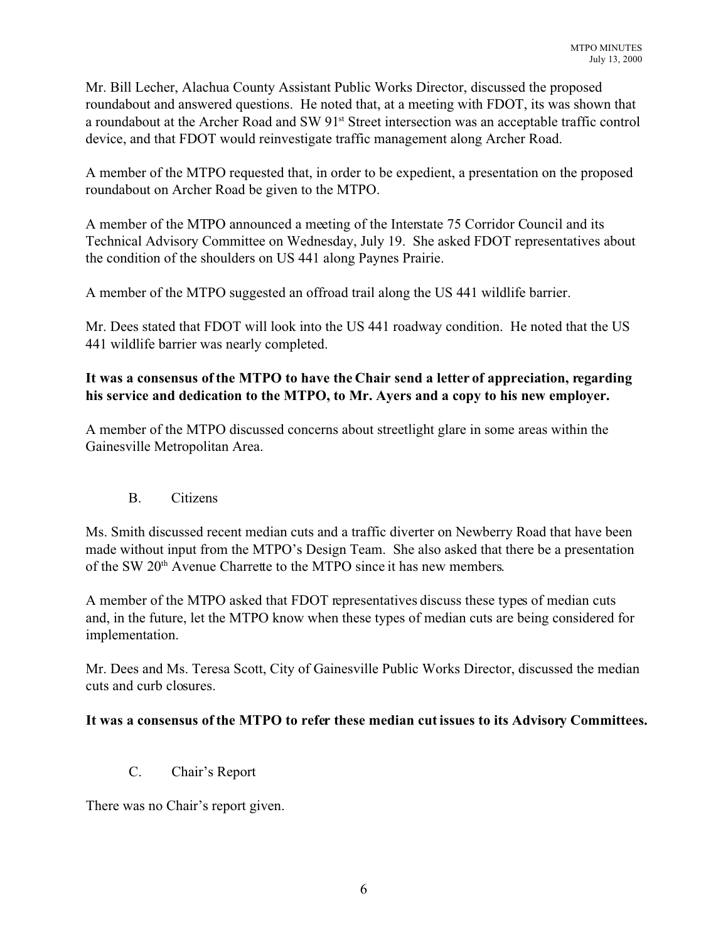Mr. Bill Lecher, Alachua County Assistant Public Works Director, discussed the proposed roundabout and answered questions. He noted that, at a meeting with FDOT, its was shown that a roundabout at the Archer Road and SW 91<sup>st</sup> Street intersection was an acceptable traffic control device, and that FDOT would reinvestigate traffic management along Archer Road.

A member of the MTPO requested that, in order to be expedient, a presentation on the proposed roundabout on Archer Road be given to the MTPO.

A member of the MTPO announced a meeting of the Interstate 75 Corridor Council and its Technical Advisory Committee on Wednesday, July 19. She asked FDOT representatives about the condition of the shoulders on US 441 along Paynes Prairie.

A member of the MTPO suggested an offroad trail along the US 441 wildlife barrier.

Mr. Dees stated that FDOT will look into the US 441 roadway condition. He noted that the US 441 wildlife barrier was nearly completed.

# **It was a consensus of the MTPO to have the Chair send a letter of appreciation, regarding his service and dedication to the MTPO, to Mr. Ayers and a copy to his new employer.**

A member of the MTPO discussed concerns about streetlight glare in some areas within the Gainesville Metropolitan Area.

# B. Citizens

Ms. Smith discussed recent median cuts and a traffic diverter on Newberry Road that have been made without input from the MTPO's Design Team. She also asked that there be a presentation of the SW 20<sup>th</sup> Avenue Charrette to the MTPO since it has new members.

A member of the MTPO asked that FDOT representatives discuss these types of median cuts and, in the future, let the MTPO know when these types of median cuts are being considered for implementation.

Mr. Dees and Ms. Teresa Scott, City of Gainesville Public Works Director, discussed the median cuts and curb closures.

# **It was a consensus of the MTPO to refer these median cut issues to its Advisory Committees.**

C. Chair's Report

There was no Chair's report given.